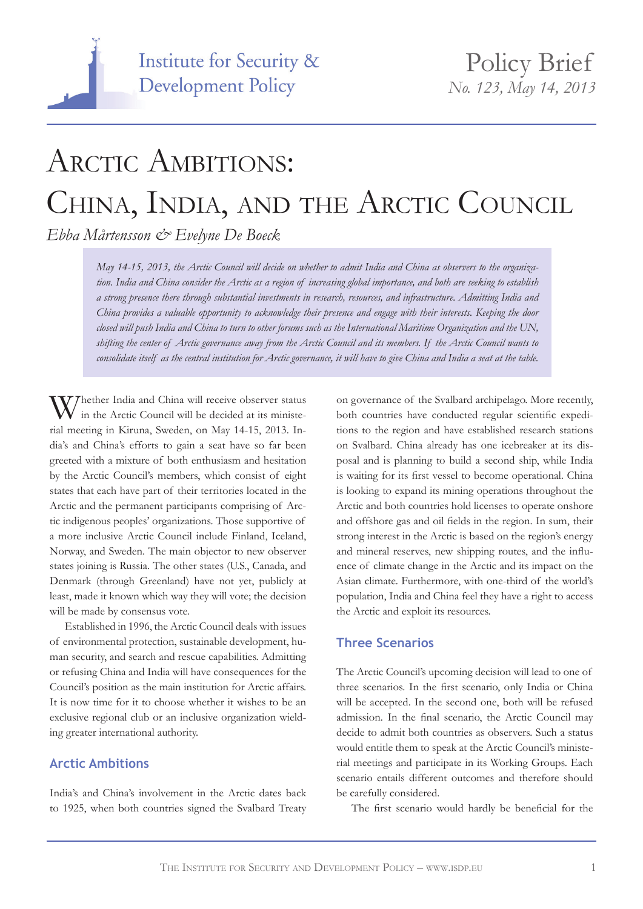

# ARCTIC AMBITIONS: CHINA, INDIA, AND THE ARCTIC COUNCIL

*Ebba Mårtensson & Evelyne De Boeck*

*May 14-15, 2013, the Arctic Council will decide on whether to admit India and China as observers to the organization. India and China consider the Arctic as a region of increasing global importance, and both are seeking to establish a strong presence there through substantial investments in research, resources, and infrastructure. Admitting India and China provides a valuable opportunity to acknowledge their presence and engage with their interests. Keeping the door closed will push India and China to turn to other forums such as the International Maritime Organization and the UN, shifting the center of Arctic governance away from the Arctic Council and its members. If the Arctic Council wants to consolidate itself as the central institution for Arctic governance, it will have to give China and India a seat at the table.*

Whether India and China will receive observer status in the Arctic Council will be decided at its ministerial meeting in Kiruna, Sweden, on May 14-15, 2013. India's and China's efforts to gain a seat have so far been greeted with a mixture of both enthusiasm and hesitation by the Arctic Council's members, which consist of eight states that each have part of their territories located in the Arctic and the permanent participants comprising of Arctic indigenous peoples' organizations. Those supportive of a more inclusive Arctic Council include Finland, Iceland, Norway, and Sweden. The main objector to new observer states joining is Russia. The other states (U.S., Canada, and Denmark (through Greenland) have not yet, publicly at least, made it known which way they will vote; the decision will be made by consensus vote.

Established in 1996, the Arctic Council deals with issues of environmental protection, sustainable development, human security, and search and rescue capabilities. Admitting or refusing China and India will have consequences for the Council's position as the main institution for Arctic affairs. It is now time for it to choose whether it wishes to be an exclusive regional club or an inclusive organization wielding greater international authority.

## **Arctic Ambitions**

India's and China's involvement in the Arctic dates back to 1925, when both countries signed the Svalbard Treaty on governance of the Svalbard archipelago. More recently, both countries have conducted regular scientific expeditions to the region and have established research stations on Svalbard. China already has one icebreaker at its disposal and is planning to build a second ship, while India is waiting for its first vessel to become operational. China is looking to expand its mining operations throughout the Arctic and both countries hold licenses to operate onshore and offshore gas and oil fields in the region. In sum, their strong interest in the Arctic is based on the region's energy and mineral reserves, new shipping routes, and the influence of climate change in the Arctic and its impact on the Asian climate. Furthermore, with one-third of the world's population, India and China feel they have a right to access the Arctic and exploit its resources.

## **Three Scenarios**

The Arctic Council's upcoming decision will lead to one of three scenarios. In the first scenario, only India or China will be accepted. In the second one, both will be refused admission. In the final scenario, the Arctic Council may decide to admit both countries as observers. Such a status would entitle them to speak at the Arctic Council's ministerial meetings and participate in its Working Groups. Each scenario entails different outcomes and therefore should be carefully considered.

The first scenario would hardly be beneficial for the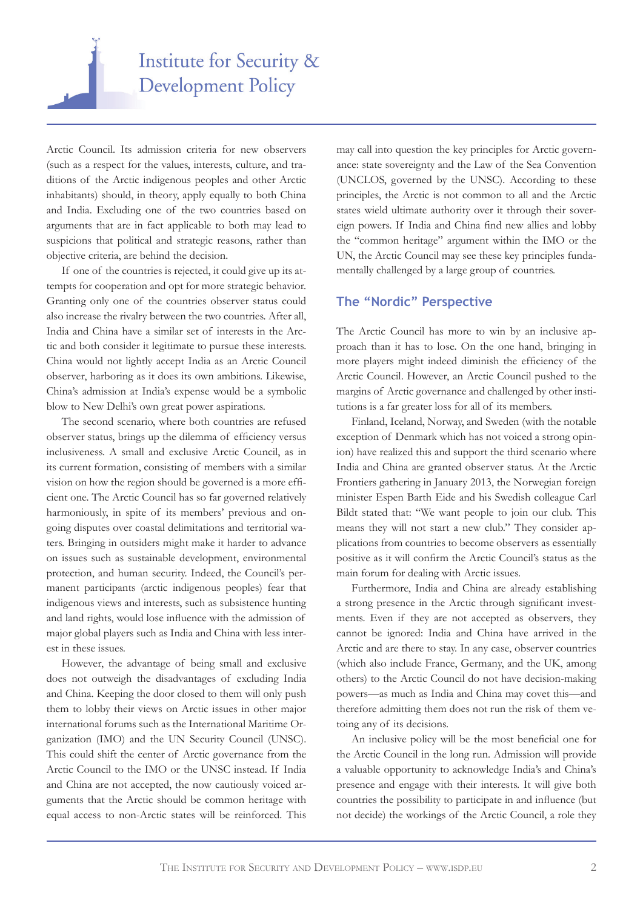

Arctic Council. Its admission criteria for new observers (such as a respect for the values, interests, culture, and traditions of the Arctic indigenous peoples and other Arctic inhabitants) should, in theory, apply equally to both China and India. Excluding one of the two countries based on arguments that are in fact applicable to both may lead to suspicions that political and strategic reasons, rather than objective criteria, are behind the decision.

If one of the countries is rejected, it could give up its attempts for cooperation and opt for more strategic behavior. Granting only one of the countries observer status could also increase the rivalry between the two countries. After all, India and China have a similar set of interests in the Arctic and both consider it legitimate to pursue these interests. China would not lightly accept India as an Arctic Council observer, harboring as it does its own ambitions. Likewise, China's admission at India's expense would be a symbolic blow to New Delhi's own great power aspirations.

The second scenario, where both countries are refused observer status, brings up the dilemma of efficiency versus inclusiveness. A small and exclusive Arctic Council, as in its current formation, consisting of members with a similar vision on how the region should be governed is a more efficient one. The Arctic Council has so far governed relatively harmoniously, in spite of its members' previous and ongoing disputes over coastal delimitations and territorial waters. Bringing in outsiders might make it harder to advance on issues such as sustainable development, environmental protection, and human security. Indeed, the Council's permanent participants (arctic indigenous peoples) fear that indigenous views and interests, such as subsistence hunting and land rights, would lose influence with the admission of major global players such as India and China with less interest in these issues.

However, the advantage of being small and exclusive does not outweigh the disadvantages of excluding India and China. Keeping the door closed to them will only push them to lobby their views on Arctic issues in other major international forums such as the International Maritime Organization (IMO) and the UN Security Council (UNSC). This could shift the center of Arctic governance from the Arctic Council to the IMO or the UNSC instead. If India and China are not accepted, the now cautiously voiced arguments that the Arctic should be common heritage with equal access to non-Arctic states will be reinforced. This may call into question the key principles for Arctic governance: state sovereignty and the Law of the Sea Convention (UNCLOS, governed by the UNSC). According to these principles, the Arctic is not common to all and the Arctic states wield ultimate authority over it through their sovereign powers. If India and China find new allies and lobby the "common heritage" argument within the IMO or the UN, the Arctic Council may see these key principles fundamentally challenged by a large group of countries.

#### **The "Nordic" Perspective**

The Arctic Council has more to win by an inclusive approach than it has to lose. On the one hand, bringing in more players might indeed diminish the efficiency of the Arctic Council. However, an Arctic Council pushed to the margins of Arctic governance and challenged by other institutions is a far greater loss for all of its members.

Finland, Iceland, Norway, and Sweden (with the notable exception of Denmark which has not voiced a strong opinion) have realized this and support the third scenario where India and China are granted observer status. At the Arctic Frontiers gathering in January 2013, the Norwegian foreign minister Espen Barth Eide and his Swedish colleague Carl Bildt stated that: "We want people to join our club. This means they will not start a new club." They consider applications from countries to become observers as essentially positive as it will confirm the Arctic Council's status as the main forum for dealing with Arctic issues.

Furthermore, India and China are already establishing a strong presence in the Arctic through significant investments. Even if they are not accepted as observers, they cannot be ignored: India and China have arrived in the Arctic and are there to stay. In any case, observer countries (which also include France, Germany, and the UK, among others) to the Arctic Council do not have decision-making powers—as much as India and China may covet this—and therefore admitting them does not run the risk of them vetoing any of its decisions.

An inclusive policy will be the most beneficial one for the Arctic Council in the long run. Admission will provide a valuable opportunity to acknowledge India's and China's presence and engage with their interests. It will give both countries the possibility to participate in and influence (but not decide) the workings of the Arctic Council, a role they